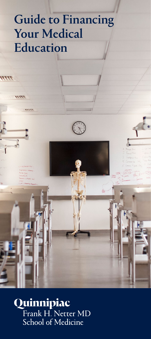# Guide to Financing Your Medical Education

 $\frac{7}{7}$ 

 $\frac{1}{1}$ 

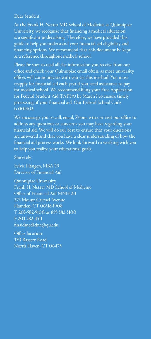<span id="page-1-0"></span>Dear Student,

At the Frank H. Netter MD School of Medicine at Quinnipiac University, we recognize that financing a medical education is a significant undertaking. Therefore, we have provided this guide to help you understand your financial aid eligibility and financing options. We recommend that this document be kept as a reference throughout medical school.

Please be sure to read all the information you receive from our office and check your Quinnipiac email often, as most university offices will communicate with you via this method. You must reapply for financial aid each year if you need assistance to pay for medical school. We recommend filing your Free Application for Federal Student Aid (FAFSA) by March 1 to ensure timely processing of your financial aid. Our Federal School Code is 001402.

We encourage you to call, email, Zoom, write or visit our office to address any questions or concerns you may have regarding your financial aid. We will do our best to ensure that your questions are answered and that you have a clear understanding of how the financial aid process works. We look forward to working with you to help you realize your educational goals.

Sincerely,

Sylvie Hangen, MBA '19 Director of Financial Aid

Quinnipiac University Frank H. Netter MD School of Medicine Office of Financial Aid MNH-211 275 Mount Carmel Avenue Hamden, CT 06518-1908 T 203-582-5100 or 855-582-5100 F 203-582-4511 finaidmedicine@qu.edu

Office location: 370 Bassett Road North Haven, CT 06473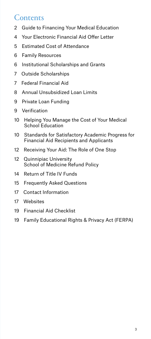### **Contents**

- [Guide to Financing Your Medical Education](#page-1-0)
- [Your Electronic Financial Aid Offer Letter](#page-3-0)
- [Estimated Cost of Attendance](#page-4-0)
- [Family Resources](#page-5-0)
- [Institutional Scholarships and Grants](#page-5-0)
- [Outside Scholarships](#page-6-0)
- [Federal Financial Aid](#page-6-0)
- [Annual Unsubsidized Loan Limits](#page-7-0)
- [Private Loan Funding](#page-8-0)
- [Verification](#page-8-0)
- [10 Helping You Manage the Cost of Your Medical](#page-9-0)  [School Education](#page-9-0)
- [10 Standards for Satisfactory Academic Progress for](#page-9-0)  [Financial Aid Recipients and Applicants](#page-9-0)
- [Receiving Your Aid: The Role of One Stop](#page-11-0)
- [12 Quinnipiac University](#page-11-0)  [School of Medicine Refund Policy](#page-11-0)
- [Return of Title IV Funds](#page-13-0)
- [Frequently Asked Questions](#page-14-0)
- [Contact Information](#page-16-0)
- [Websites](#page-16-0)
- [Financial Aid Checklist](#page-18-0)
- [Family Educational Rights & Privacy Act \(FERPA\)](#page-18-0)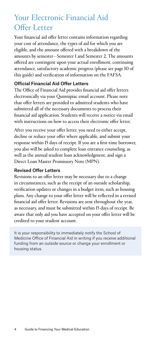# <span id="page-3-0"></span>Your Electronic Financial Aid Offer Letter

Your financial aid offer letter contains information regarding your cost of attendance, the types of aid for which you are eligible, and the amount offered with a breakdown of the amounts by semester—Semester 1 and Semester 2. The amounts offered are contingent upon your actual enrollment, continuing attendance, satisfactory academic progress (please see page 10 of this guide) and verification of information on the FAFSA.

### Official Financial Aid Offer Letters

The Office of Financial Aid provides financial aid offer letters electronically via your Quinnipiac email account. Please note that offer letters are provided to admitted students who have submitted all of the necessary documents to process their financial aid application. Students will receive a notice via email with instructions on how to access their electronic offer letter.

After you receive your offer letter, you need to either accept, decline or reduce your offer where applicable, and submit your response within 15 days of receipt. If you are a first-time borrower, you also will be asked to complete loan entrance counseling, as well as the annual student loan acknowledgment, and sign a Direct Loan Master Promissory Note (MPN).

### Revised Offer Letters

Revisions to an offer letter may be necessary due to a change in circumstances, such as the receipt of an outside scholarship, verification updates or changes in a budget item, such as housing plans. Any change to your offer letter will be reflected in a revised financial aid offer letter. Revisions are sent throughout the year, as necessary, and must be submitted within 15 days of receipt. Be aware that only aid you have accepted on your offer letter will be credited to your student account.

It is your responsibility to immediately notify the School of Medicine Office of Financial Aid in writing if you receive additional funding from an outside source or change your enrollment or housing status.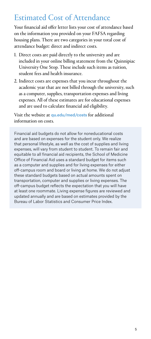# <span id="page-4-0"></span>Estimated Cost of Attendance

Your financial aid offer letter lists your cost of attendance based on the information you provided on your FAFSA regarding housing plans. There are two categories in your total cost of attendance budget: direct and indirect costs.

- 1. Direct costs are paid directly to the university and are included in your online billing statement from the Quinnipiac University One Stop. These include such items as tuition, student fees and health insurance.
- 2. Indirect costs are expenses that you incur throughout the academic year that are not billed through the university, such as a computer, supplies, transportation expenses and living expenses. All of these estimates are for educational expenses and are used to calculate financial aid eligibility.

Visit the website at [qu.edu/med/costs](http://qu.edu/med/costs) for additional information on costs.

Financial aid budgets do not allow for noneducational costs and are based on expenses for the student only. We realize that personal lifestyle, as well as the cost of supplies and living expenses, will vary from student to student. To remain fair and equitable to all financial aid recipients, the School of Medicine Office of Financial Aid uses a standard budget for items such as a computer and supplies and for living expenses for either off-campus room and board or living at home. We do not adjust these standard budgets based on actual amounts spent on transportation, computer and supplies or living expenses. The off-campus budget reflects the expectation that you will have at least one roommate. Living expense figures are reviewed and updated annually and are based on estimates provided by the Bureau of Labor Statistics and Consumer Price Index.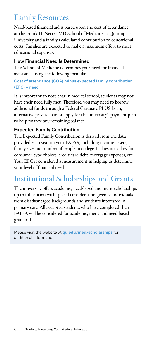# <span id="page-5-0"></span>Family Resources

Need-based financial aid is based upon the cost of attendance at the Frank H. Netter MD School of Medicine at Quinnipiac University and a family's calculated contribution to educational costs. Families are expected to make a maximum effort to meet educational expenses.

### How Financial Need Is Determined

The School of Medicine determines your need for financial assistance using the following formula:

### Cost of attendance (COA) minus expected family contribution (EFC) = need

It is important to note that in medical school, students may not have their need fully met. Therefore, you may need to borrow additional funds through a Federal Graduate PLUS Loan, alternative private loan or apply for the university's payment plan to help finance any remaining balance.

### Expected Family Contribution

The Expected Family Contribution is derived from the data provided each year on your FAFSA, including income, assets, family size and number of people in college. It does not allow for consumer-type choices, credit card debt, mortgage expenses, etc. Your EFC is considered a measurement in helping us determine your level of financial need.

# Institutional Scholarships and Grants

The university offers academic, need-based and merit scholarships up to full tuition with special consideration given to individuals from disadvantaged backgrounds and students interested in primary care. All accepted students who have completed their FAFSA will be considered for academic, merit and need-based grant aid.

Please visit the website at [qu.edu/med/scholarships](http://qu.edu/med/scholarships) for additional information.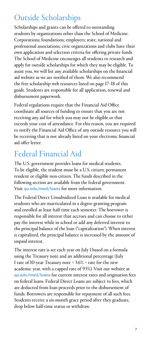# <span id="page-6-0"></span>Outside Scholarships

Scholarships and grants can be offered to outstanding students by organizations other than the School of Medicine. Corporations; foundations; employers; state, national and professional associations; civic organizations and clubs have their own application and selection criteria for offering private funds. The School of Medicine encourages all students to research and apply for outside scholarships for which they may be eligible. To assist you, we will list any available scholarships on the financial aid website as we are notified of them. We also recommend the free scholarship web resources listed on page 17–18 of this guide. Students are responsible for all application, renewal and disbursement paperwork.

Federal regulations require that the Financial Aid Office coordinate all sources of funding to ensure that you are not receiving any aid for which you may not be eligible or that exceeds your cost of attendance. For this reason, you are required to notify the Financial Aid Office of any outside resource you will be receiving that is not already listed on your electronic financial aid offer letter.

# Federal Financial Aid

The U.S. government provides loans for medical students. To be eligible, the student must be a U.S. citizen, permanent resident or eligible non-citizen. The funds described in the following section are available from the federal government. Visit [qu.edu/med/loans](http://qu.edu/med/loans) for more information.

The Federal Direct Unsubsidized Loan is available for medical students who are matriculated in a degree-granting program and enrolled at least half time each semester. The borrower is responsible for all interest that accrues and can choose to either pay the interest while in school or add any deferred interest to the principal balance of the loan ("capitalization"). When interest is capitalized, the principal balance is increased by the amount of unpaid interest.

The interest rate is set each year on July 1 based on a formula using the Treasury note and an additional percentage (July 1 rate of 10-year Treasury note  $+3.6\%$  = rate for the new academic year, with a capped rate of 9.5%). Visit our website at [qu.edu/med/loans](http://qu.edu/med/loans) for current interest rates and origination fees on federal loans. Federal Direct Loans are subject to fees, which are deducted from loan proceeds prior to the disbursement of funds. Borrowers are responsible for repayment of all such fees. Students receive a six-month grace period after they graduate, drop below half-time status or withdraw.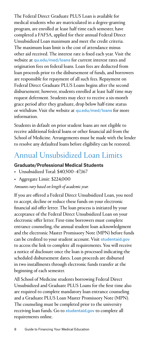<span id="page-7-0"></span>The Federal Direct Graduate PLUS Loan is available for medical students who are matriculated in a degree-granting program, are enrolled at least half time each semester, have completed a FAFSA, applied for their annual Federal Direct Unsubsidized Loan maximum and meet the credit criteria. The maximum loan limit is the cost of attendance minus other aid received. The interest rate is fixed each year. Visit the website at [qu.edu/med/loans](http://qu.edu/med/loans) for current interest rates and origination fees on federal loans. Loan fees are deducted from loan proceeds prior to the disbursement of funds, and borrowers are responsible for repayment of all such fees. Repayment on Federal Direct Graduate PLUS Loans begins after the second disbursement; however, students enrolled at least half time may request deferment. Students may elect to receive a six-month grace period after they graduate, drop below half-time status or withdraw. Visit the website at [qu.edu/med/loans](http://qu.edu/med/loans) for more information.

Students in default on prior student loans are not eligible to receive additional federal loans or other financial aid from the School of Medicine. Arrangements must be made with the lender to resolve any defaulted loans before eligibility can be restored.

### Annual Unsubsidized Loan Limits

#### Graduate/Professional Medical Students

- Unsubsidized Total: \$40,500–47,167
- Aggregate Limit: \$224,000

#### *Amounts vary based on length of academic year.*

If you are offered a Federal Direct Unsubsidized Loan, you need to accept, decline or reduce these funds on your electronic financial aid offer letter. The loan process is initiated by your acceptance of the Federal Direct Unsubsidized Loan on your electronic offer letter. First-time borrowers must complete entrance counseling, the annual student loan acknowledgment and the electronic Master Promissory Note (MPN) before funds can be credited to your student account. Visit [studentaid.gov](http://studentaid.gov) to access the link to complete all requirements. You will receive a notice of disclosure once the loan is processed indicating the scheduled disbursement dates. Loan proceeds are disbursed in two installments through electronic funds transfer at the beginning of each semester.

All School of Medicine students borrowing Federal Direct Unsubsidized and Graduate PLUS Loans for the first time also are required to complete mandatory loan entrance counseling and a Graduate PLUS Loan Master Promissory Note (MPN). The counseling must be completed prior to the university receiving loan funds. Go to [studentaid.gov](http://studentaid.gov) to complete all requirements online.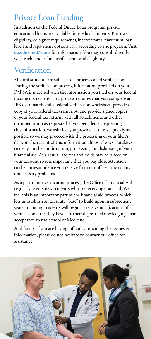# <span id="page-8-0"></span>Private Loan Funding

In addition to the Federal Direct Loan programs, private educational loans are available for medical students. Borrower eligibility, co-signer requirements, interest rates, maximum loan levels and repayment options vary according to the program. Visit [qu.edu/med/loans](http://qu.edu/med/loans) for information. You may consult directly with each lender for specific terms and eligibility.

# Verification

Medical students are subject to a process called verification. During the verification process, information provided on your FAFSA is matched with the information you filed on your federal income tax returns. This process requires that you complete an IRS data match and a federal verification worksheet, provide a copy of your federal tax transcript, and provide signed copies of your federal tax returns with all attachments and other documentation as requested. If you get a letter requesting this information, we ask that you provide it to us as quickly as possible so we may proceed with the processing of your file. A delay in the receipt of this information almost always translates to delays in the confirmation, processing and disbursing of your financial aid. As a result, late fees and holds may be placed on your account so it is important that you pay close attention to the correspondence you receive from our office to avoid any unnecessary problems.

As a part of our verification process, the Office of Financial Aid regularly selects new students who are receiving grant aid. We feel this is an important part of the financial aid process, which lets us establish an accurate "base" to build upon in subsequent years. Incoming students will begin to receive notifications of verification after they have left their deposit acknowledging their acceptance to the School of Medicine.

And finally, if you are having difficulty providing the requested information, please do not hesitate to contact our office for assistance.

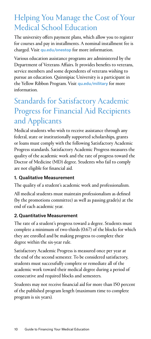# <span id="page-9-0"></span>Helping You Manage the Cost of Your Medical School Education

The university offers payment plans, which allow you to register for courses and pay in installments. A nominal installment fee is charged. Visit [qu.edu/onestop](http://qu.edu/onestop) for more information.

Various education assistance programs are administered by the Department of Veterans Affairs. It provides benefits to veterans, service members and some dependents of veterans wishing to pursue an education. Quinnipiac University is a participant in the Yellow Ribbon Program. Visit [qu.edu/military](http://qu.edu/military) for more information.

# Standards for Satisfactory Academic Progress for Financial Aid Recipients and Applicants

Medical students who wish to receive assistance through any federal, state or institutionally supported scholarships, grants or loans must comply with the following Satisfactory Academic Progress standards. Satisfactory Academic Progress measures the quality of the academic work and the rate of progress toward the Doctor of Medicine (MD) degree. Students who fail to comply are not eligible for financial aid.

### 1. Qualitative Measurement

The quality of a student's academic work and professionalism.

All medical students must maintain professionalism as defined (by the promotions committee) as well as passing grade(s) at the end of each academic year.

### 2. Quantitative Measurement

The rate of a student's progress toward a degree. Students must complete a minimum of two-thirds (0.67) of the blocks for which they are enrolled and be making progress to complete their degree within the six-year rule.

Satisfactory Academic Progress is measured once per year at the end of the second semester. To be considered satisfactory, students must successfully complete or remediate all of the academic work toward their medical degree during a period of consecutive and required blocks and semesters.

Students may not receive financial aid for more than 150 percent of the published program length (maximum time to complete program is six years).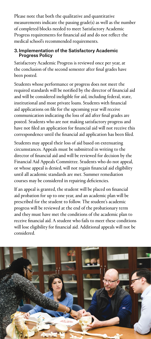Please note that both the qualitative and quantitative measurements indicate the passing grade(s) as well as the number of completed blocks needed to meet Satisfactory Academic Progress requirements for financial aid and do not reflect the medical school's recommended requirements.

### 3.Implementation of the Satisfactory Academic Progress Policy

Satisfactory Academic Progress is reviewed once per year, at the conclusion of the second semester after final grades have been posted.

Students whose performance or progress does not meet the required standards will be notified by the director of financial aid and will be considered ineligible for aid, including federal, state, institutional and most private loans. Students with financial aid applications on file for the upcoming year will receive communication indicating the loss of aid after final grades are posted. Students who are not making satisfactory progress and have not filed an application for financial aid will not receive this correspondence until the financial aid application has been filed.

Students may appeal their loss of aid based on extenuating circumstances. Appeals must be submitted in writing to the director of financial aid and will be reviewed for decision by the Financial Aid Appeals Committee. Students who do not appeal, or whose appeal is denied, will not regain financial aid eligibility until all academic standards are met. Summer remediation courses may be considered in repairing deficiencies.

If an appeal is granted, the student will be placed on financial aid probation for up to one year, and an academic plan will be prescribed for the student to follow. The student's academic progress will be reviewed at the end of the probationary term and they must have met the conditions of the academic plan to receive financial aid. A student who fails to meet these conditions will lose eligibility for financial aid. Additional appeals will not be considered.

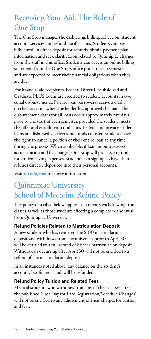# <span id="page-11-0"></span>Receiving Your Aid: The Role of One Stop

The One Stop manages the cashiering, billing, collection, student account services and refund notifications. Students can pay bills, enroll in direct deposit for refunds, obtain payment plan information and seek clarification related to Quinnipiac charges from the staff in this office. Students can access an online billing statement from the One Stop's office prior to each semester and are expected to meet their financial obligations when they are due.

For financial aid recipients, Federal Direct Unsubsidized and Graduate PLUS Loans are credited to student accounts in two equal disbursements. Private loan borrowers receive a credit on their account when the lender has approved the loan. The disbursement dates for all loans occur approximately five days prior to the start of each semester, provided the student meets the offer and enrollment conditions. Federal and private student loans are disbursed via electronic funds transfer. Students have the right to cancel a portion of their entire loan at any time during the process. When applicable, if loan amounts exceed actual tuition and fee charges, One Stop will process a refund for student living expenses. Students can sign up to have their refunds directly deposited into their personal accounts.

Visit [qu.edu/msf](http://qu.edu/msf) for more information.

# Quinnipiac University School of Medicine Refund Policy

The policy described below applies to students withdrawing from classes as well as those students effecting a complete withdrawal from Quinnipiac University.

### Refund Policies Related to Matriculation Deposit

A new student who has rendered the \$100 matriculation deposit and withdraws from the university prior to April 30 will be entitled to a full refund of his/her matriculation deposit. Withdrawals occurring after April 30 will not be entitled to a refund of the matriculation deposit.

In all instances noted above, any balance on the student's account, less financial aid, will be refunded.

### Refund Policy Tuition and Related Fees

Medical students who withdraw from any of their classes after the published "Last Day for Late Registration/Schedule Changes" will not be entitled to any adjustment of their charges for tuition and fees.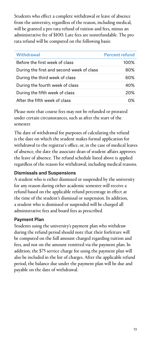Students who effect a complete withdrawal or leave of absence from the university, regardless of the reason, including medical, will be granted a pro rata refund of tuition and fees, minus an administrative fee of \$100. Late fees are nonrefundable. The pro rata refund will be computed on the following basis:

| Withdrawal                                | <b>Percent refund</b> |
|-------------------------------------------|-----------------------|
| Before the first week of class            | 100%                  |
| During the first and second week of class | 80%                   |
| During the third week of class            | 60%                   |
| During the fourth week of class           | 40%                   |
| During the fifth week of class            | 20%                   |
| After the fifth week of class             | በ%                    |

Please note that course fees may not be refunded or prorated under certain circumstances, such as after the start of the semester.

The date of withdrawal for purposes of calculating the refund is the date on which the student makes formal application for withdrawal to the registrar's office, or, in the case of medical leaves of absence, the date the associate dean of student affairs approves the leave of absence. The refund schedule listed above is applied regardless of the reason for withdrawal, including medical reasons.

### Dismissals and Suspensions

A student who is either dismissed or suspended by the university for any reason during either academic semester will receive a refund based on the applicable refund percentage in effect at the time of the student's dismissal or suspension. In addition, a student who is dismissed or suspended will be charged all administrative fees and board fees as prescribed.

### Payment Plan

Students using the university's payment plan who withdraw during the refund period should note that their forfeiture will be computed on the full amount charged regarding tuition and fees, and not on the amount remitted via the payment plan. In addition, the \$75 service charge for using the payment plan will also be included in the list of charges. After the applicable refund period, the balance due under the payment plan will be due and payable on the date of withdrawal.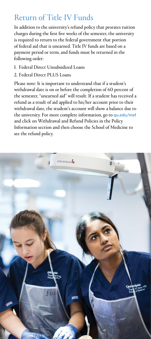# <span id="page-13-0"></span>Return of Title IV Funds

In addition to the university's refund policy that prorates tuition charges during the first five weeks of the semester, the university is required to return to the federal government that portion of federal aid that is unearned. Title IV funds are based on a payment period or term, and funds must be returned in the following order:

- 1. Federal Direct Unsubsidized Loans
- 2. Federal Direct PLUS Loans

Please note: It is important to understand that if a student's withdrawal date is on or before the completion of 60 percent of the semester, "unearned aid" will result. If a student has received a refund as a result of aid applied to his/her account prior to their withdrawal date, the student's account will show a balance due to the university. For more complete information, go to quedu/msf and click on Withdrawal and Refund Policies in the Policy Information section and then choose the School of Medicine to see the refund policy.

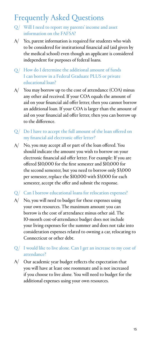# <span id="page-14-0"></span>Frequently Asked Questions

- $Q/$  Will I need to report my parents' income and asset information on the FAFSA?
- $A$  Yes, parent information is required for students who wish to be considered for institutional financial aid (aid given by the medical school) even though an applicant is considered independent for purposes of federal loans.
- $Q$  How do I determine the additional amount of funds I can borrow in a Federal Graduate PLUS or private educational loan?
- $A$  You may borrow up to the cost of attendance (COA) minus any other aid received. If your COA equals the amount of aid on your financial aid offer letter, then you cannot borrow an additional loan. If your COA is larger than the amount of aid on your financial aid offer letter, then you can borrow up to the difference.
- $Q/$  Do I have to accept the full amount of the loan offered on my financial aid electronic offer letter?
- No, you may accept all or part of the loan offered. You A/ should indicate the amount you wish to borrow on your electronic financial aid offer letter. For example: If you are offered \$10,000 for the first semester and \$10,000 for the second semester, but you need to borrow only \$3,000 per semester, replace the \$10,000 with \$3,000 for each semester, accept the offer and submit the response.

### $Q/$  Can I borrow educational loans for relocation expenses?

- $A$  No, you will need to budget for these expenses using your own resources. The maximum amount you can borrow is the cost of attendance minus other aid. The 10-month cost-of-attendance budget does not include your living expenses for the summer and does not take into consideration expenses related to owning a car, relocating to Connecticut or other debt.
- $Q/$  I would like to live alone. Can I get an increase to my cost of attendance?
- $A$  Our academic year budget reflects the expectation that you will have at least one roommate and is not increased if you choose to live alone. You will need to budget for the additional expenses using your own resources.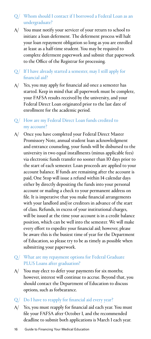### $Q/$  Whom should I contact if I borrowed a Federal Loan as an undergraduate?

A/ You must notify your servicer of your return to school to initiate a loan deferment. The deferment process will halt your loan repayment obligation so long as you are enrolled at least as a half-time student. You may be required to complete deferment paperwork and submit that paperwork to the Office of the Registrar for processing.

### $Q/$  If I have already started a semester, may I still apply for financial aid?

- $A$ / Yes, you may apply for financial aid once a semester has started. Keep in mind that all paperwork must be complete, your FAFSA results received by the university, and your Federal Direct Loan originated prior to the last date of enrollment for the academic period.
- $Q/$  How are my Federal Direct Loan funds credited to my account?
- Once you have completed your Federal Direct Master Promissory Note, annual student loan acknowledgment and entrance counseling, your funds will be disbursed to the university in two equal installments (minus applicable fees) via electronic funds transfer no sooner than 10 days prior to the start of each semester. Loan proceeds are applied to your account balance. If funds are remaining after the account is paid, One Stop will issue a refund within 14 calendar days either by directly depositing the funds into your personal account or mailing a check to your permanent address on file. It is imperative that you make financial arrangements with your landlord and/or creditors in advance of the start of class. Refunds, in excess of your institutional charges, will be issued at the time your account is in a credit balance position, which can be well into the semester. We will make every effort to expedite your financial aid; however, please be aware this is the busiest time of year for the Department of Education, so please try to be as timely as possible when submitting your paperwork.  $A/$

### $Q/$  What are my repayment options for Federal Graduate PLUS Loans after graduation?

- A/ You may elect to defer your payments for six months; however, interest will continue to accrue. Beyond that, you should contact the Department of Education to discuss options, such as forbearance.
- $Q/$  Do I have to reapply for financial aid every year?
- $A$ / $Y$ es, you must reapply for financial aid each year. You must file your FAFSA after October 1, and the recommended deadline to submit both applications is March 1 each year.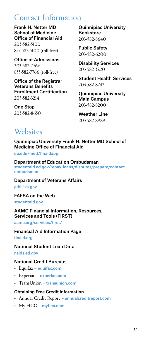### <span id="page-16-0"></span>Contact Information

Frank H. Netter MD School of Medicine Office of Financial Aid 203-582-5100 855-582-5100 (toll-free)

Office of Admissions 203-582-7766 855-582-7766 (toll-free)

Office of the Registrar Veterans Benefits Enrollment Certification 203-582-3214

One Stop 203-582-8650 Quinnipiac University **Bookstore** 203-582-8640

Public Safety 203-582-6200

Disability Services 203-582-3220

Student Health Services 203-582-8742

Quinnipiac University Main Campus 203-582-8200

Weather Line 203-582-8989

# **Websites**

Quinnipiac University Frank H. Netter MD School of Medicine Office of Financial Aid

[qu.edu/med/finaidapp](http://qu.edu/med/finaidapp)

Department of Education Ombudsman [studentaid.ed.gov/repay-loans/disputes/prepare/contact](http://studentaid.ed.gov/repay-loans/disputes/prepare/contact-ombudsman)  [ombudsman](http://studentaid.ed.gov/repay-loans/disputes/prepare/contact-ombudsman)

Department of Veterans Affairs [gibill.va.gov](http://gibill.va.gov)

FAFSA on the Web [studentaid.gov](http://studentaid.gov)

#### AAMC Financial Information, Resources, Services and Tools (FIRST)

[aamc.org/services/first/](http://aamc.org/services/first/)

#### Financial Aid Information Page

[finaid.org](http://finaid.org)

#### National Student Loan Data

[nslds.ed.gov](http://nslds.ed.gov)

#### National Credit Bureaus

- Equifax [equifax.com](http://equifax.com)
- Experian [experian.com](http://experian.com)
- TransUnion [transunion.com](http://transunion.com)

#### Obtaining Free Credit Information

- Annual Credit Report [annualcreditreport.com](http://annualcreditreport.com)
- My FICO [myfico.com](http://myfico.com)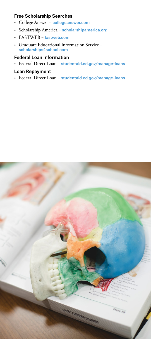### Free Scholarship Searches

- College Answer [collegeanswer.com](http://collegeanswer.com)
- Scholarship America [scholarshipamerica.org](http://scholarshipamerica.org)
- FASTWEB [fastweb.com](http://fastweb.com)
- Graduate Educational Information Service [scholarships4school.com](http://scholarships4school.com)

### Federal Loan Information

• Federal Direct Loan – [studentaid.ed.gov/manage-loans](http://studentaid.ed.gov/manage-loans)

#### Loan Repayment

• Federal Direct Loan – [studentaid.ed.gov/manage-loans](http://studentaid.ed.gov/manage-loans)

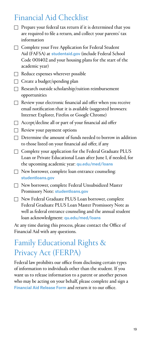### <span id="page-18-0"></span>Financial Aid Checklist

- $\Box$  Prepare your federal tax return if it is determined that you are required to file a return, and collect your parents' tax information
- □ Complete your Free Application for Federal Student Aid (FAFSA) at [studentaid.gov](http://studentaid.gov) (include Federal School Code 001402 and your housing plans for the start of the academic year)
- $\Box$  Reduce expenses wherever possible
- $\Box$  Create a budget/spending plan
- $\Box$  Research outside scholarship/tuition reimbursement opportunities
- $\Box$  Review your electronic financial aid offer when you receive email notification that it is available (suggested browsers: Internet Explorer, Firefox or Google Chrome)
- $\Box$  Accept/decline all or part of your financial aid offer
- $\Box$  Review your payment options
- $\Box$  Determine the amount of funds needed to borrow in addition to those listed on your financial aid offer, if any
- $\Box$  Complete your application for the Federal Graduate PLUS Loan or Private Educational Loan after June 1, if needed, for the upcoming academic year: [qu.edu/med/loans](http://qu.edu/med/loans)
- $\Box$  New borrower, complete loan entrance counseling: [studentloans.gov](http://studentloans.gov)
- $\Box$  New borrower, complete Federal Unsubsidized Master Promissory Note: [studentloans.gov](http://studentloans.gov)
- F New Federal Graduate PLUS Loan borrower, complete Federal Graduate PLUS Loan Master Promissory Note as well as federal entrance counseling and the annual student loan acknowledgment: [qu.edu/med/loans](http://qu.edu/med/loans)

At any time during this process, please contact the Office of Financial Aid with any questions.

# Family Educational Rights & Privacy Act (FERPA)

Federal law prohibits our office from disclosing certain types of information to individuals other than the student. If you want us to release information to a parent or another person who may be acting on your behalf, please complete and sign a [Financial Aid Release Form](https://www.qu.edu/490181/globalassets/global/media/qu/documents/paying-for-college/medicine/info-release-form.pdf) and return it to our office.